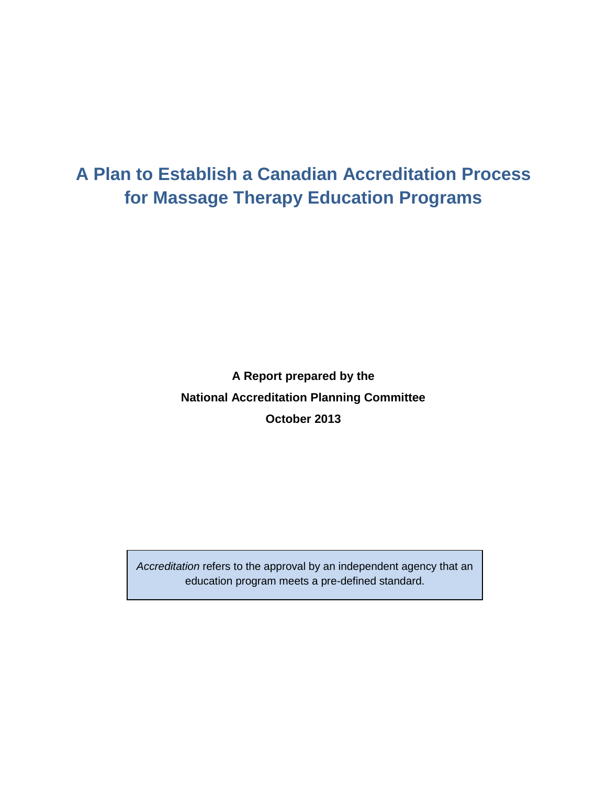# **A Plan to Establish a Canadian Accreditation Process for Massage Therapy Education Programs**

**A Report prepared by the National Accreditation Planning Committee October 2013**

*Accreditation* refers to the approval by an independent agency that an education program meets a pre-defined standard.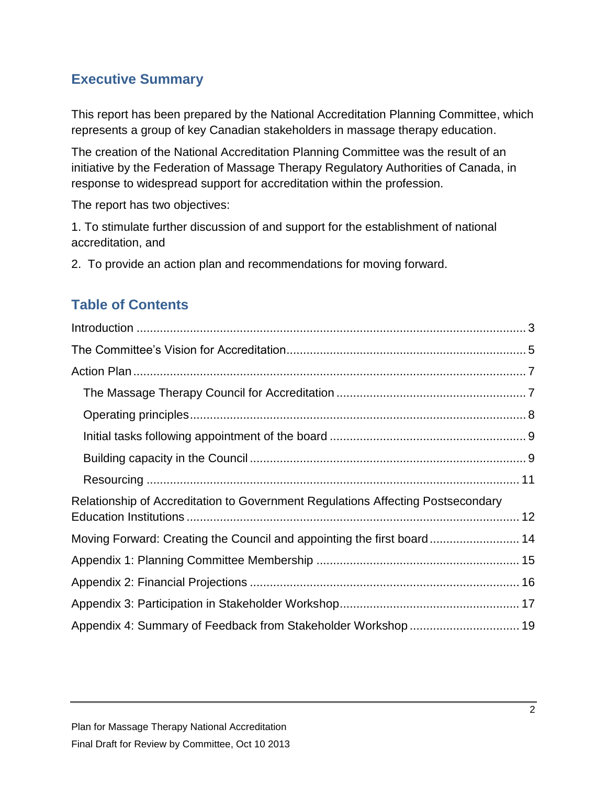### **Executive Summary**

This report has been prepared by the National Accreditation Planning Committee, which represents a group of key Canadian stakeholders in massage therapy education.

The creation of the National Accreditation Planning Committee was the result of an initiative by the Federation of Massage Therapy Regulatory Authorities of Canada, in response to widespread support for accreditation within the profession.

The report has two objectives:

1. To stimulate further discussion of and support for the establishment of national accreditation, and

2. To provide an action plan and recommendations for moving forward.

## **Table of Contents**

| Relationship of Accreditation to Government Regulations Affecting Postsecondary |  |
|---------------------------------------------------------------------------------|--|
| Moving Forward: Creating the Council and appointing the first board 14          |  |
|                                                                                 |  |
|                                                                                 |  |
|                                                                                 |  |
|                                                                                 |  |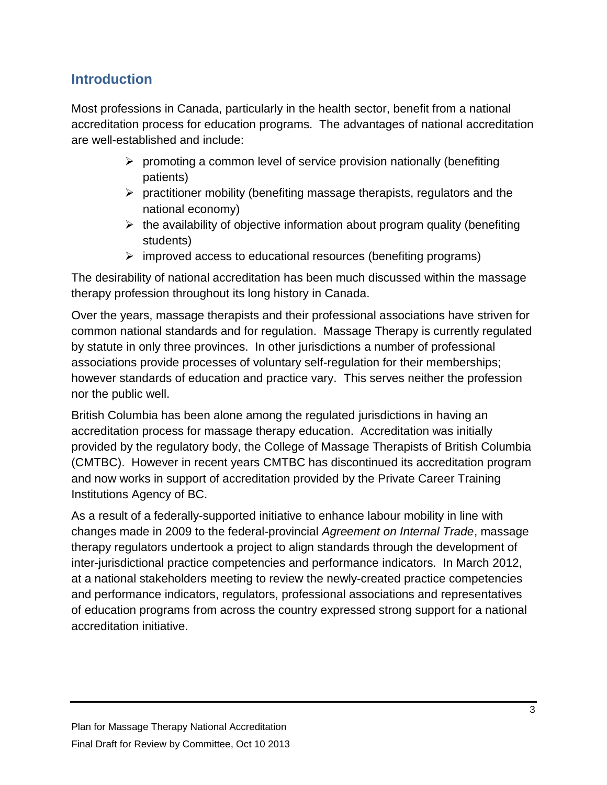### <span id="page-2-0"></span>**Introduction**

Most professions in Canada, particularly in the health sector, benefit from a national accreditation process for education programs. The advantages of national accreditation are well-established and include:

- $\triangleright$  promoting a common level of service provision nationally (benefiting patients)
- $\triangleright$  practitioner mobility (benefiting massage therapists, regulators and the national economy)
- $\triangleright$  the availability of objective information about program quality (benefiting students)
- $\triangleright$  improved access to educational resources (benefiting programs)

The desirability of national accreditation has been much discussed within the massage therapy profession throughout its long history in Canada.

Over the years, massage therapists and their professional associations have striven for common national standards and for regulation. Massage Therapy is currently regulated by statute in only three provinces. In other jurisdictions a number of professional associations provide processes of voluntary self-regulation for their memberships; however standards of education and practice vary. This serves neither the profession nor the public well.

British Columbia has been alone among the regulated jurisdictions in having an accreditation process for massage therapy education. Accreditation was initially provided by the regulatory body, the College of Massage Therapists of British Columbia (CMTBC). However in recent years CMTBC has discontinued its accreditation program and now works in support of accreditation provided by the Private Career Training Institutions Agency of BC.

As a result of a federally-supported initiative to enhance labour mobility in line with changes made in 2009 to the federal-provincial *Agreement on Internal Trade*, massage therapy regulators undertook a project to align standards through the development of inter-jurisdictional practice competencies and performance indicators. In March 2012, at a national stakeholders meeting to review the newly-created practice competencies and performance indicators, regulators, professional associations and representatives of education programs from across the country expressed strong support for a national accreditation initiative.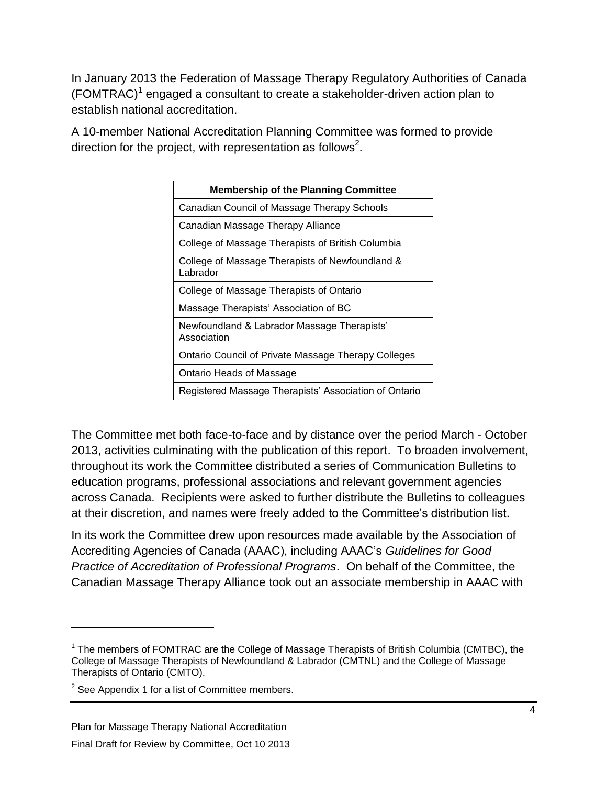In January 2013 the Federation of Massage Therapy Regulatory Authorities of Canada (FOMTRAC) $<sup>1</sup>$  engaged a consultant to create a stakeholder-driven action plan to</sup> establish national accreditation.

A 10-member National Accreditation Planning Committee was formed to provide direction for the project, with representation as follows<sup>2</sup>.

| <b>Membership of the Planning Committee</b>                 |
|-------------------------------------------------------------|
| Canadian Council of Massage Therapy Schools                 |
| Canadian Massage Therapy Alliance                           |
| College of Massage Therapists of British Columbia           |
| College of Massage Therapists of Newfoundland &<br>Labrador |
| College of Massage Therapists of Ontario                    |
| Massage Therapists' Association of BC                       |
| Newfoundland & Labrador Massage Therapists'<br>Association  |
| <b>Ontario Council of Private Massage Therapy Colleges</b>  |
| Ontario Heads of Massage                                    |
| Registered Massage Therapists' Association of Ontario       |

The Committee met both face-to-face and by distance over the period March - October 2013, activities culminating with the publication of this report. To broaden involvement, throughout its work the Committee distributed a series of Communication Bulletins to education programs, professional associations and relevant government agencies across Canada. Recipients were asked to further distribute the Bulletins to colleagues at their discretion, and names were freely added to the Committee's distribution list.

In its work the Committee drew upon resources made available by the Association of Accrediting Agencies of Canada (AAAC), including AAAC's *Guidelines for Good Practice of Accreditation of Professional Programs*. On behalf of the Committee, the Canadian Massage Therapy Alliance took out an associate membership in AAAC with

 $1$  The members of FOMTRAC are the College of Massage Therapists of British Columbia (CMTBC), the College of Massage Therapists of Newfoundland & Labrador (CMTNL) and the College of Massage Therapists of Ontario (CMTO).

 $2$  See Appendix 1 for a list of Committee members.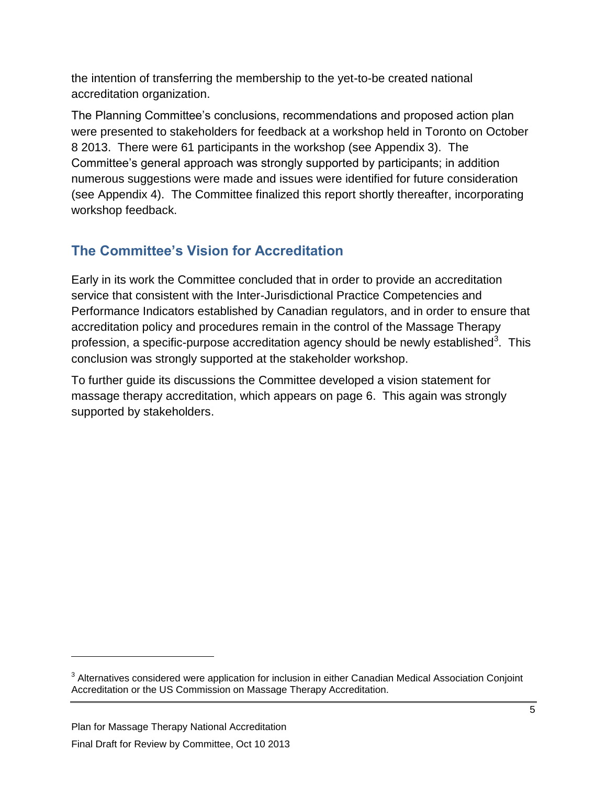the intention of transferring the membership to the yet-to-be created national accreditation organization.

The Planning Committee's conclusions, recommendations and proposed action plan were presented to stakeholders for feedback at a workshop held in Toronto on October 8 2013. There were 61 participants in the workshop (see Appendix 3). The Committee's general approach was strongly supported by participants; in addition numerous suggestions were made and issues were identified for future consideration (see Appendix 4). The Committee finalized this report shortly thereafter, incorporating workshop feedback.

# <span id="page-4-0"></span>**The Committee's Vision for Accreditation**

Early in its work the Committee concluded that in order to provide an accreditation service that consistent with the Inter-Jurisdictional Practice Competencies and Performance Indicators established by Canadian regulators, and in order to ensure that accreditation policy and procedures remain in the control of the Massage Therapy profession, a specific-purpose accreditation agency should be newly established<sup>3</sup>. This conclusion was strongly supported at the stakeholder workshop.

To further guide its discussions the Committee developed a vision statement for massage therapy accreditation, which appears on page 6. This again was strongly supported by stakeholders.

 $3$  Alternatives considered were application for inclusion in either Canadian Medical Association Conjoint Accreditation or the US Commission on Massage Therapy Accreditation.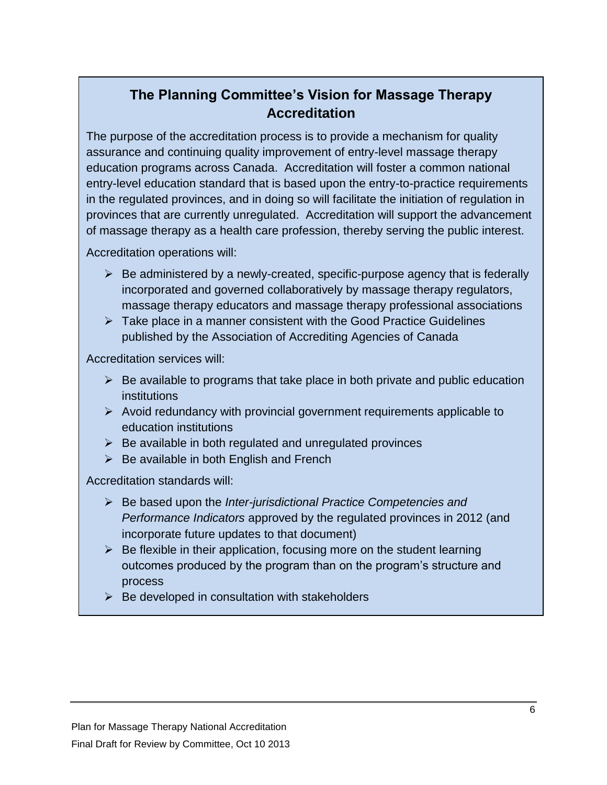# **The Planning Committee's Vision for Massage Therapy Accreditation**

The purpose of the accreditation process is to provide a mechanism for quality assurance and continuing quality improvement of entry-level massage therapy education programs across Canada. Accreditation will foster a common national entry-level education standard that is based upon the entry-to-practice requirements in the regulated provinces, and in doing so will facilitate the initiation of regulation in provinces that are currently unregulated. Accreditation will support the advancement of massage therapy as a health care profession, thereby serving the public interest.

Accreditation operations will:

- $\triangleright$  Be administered by a newly-created, specific-purpose agency that is federally incorporated and governed collaboratively by massage therapy regulators, massage therapy educators and massage therapy professional associations
- $\triangleright$  Take place in a manner consistent with the Good Practice Guidelines published by the Association of Accrediting Agencies of Canada

Accreditation services will:

- $\triangleright$  Be available to programs that take place in both private and public education institutions
- $\triangleright$  Avoid redundancy with provincial government requirements applicable to education institutions
- $\triangleright$  Be available in both regulated and unregulated provinces
- $\triangleright$  Be available in both English and French

Accreditation standards will:

- Be based upon the *Inter-jurisdictional Practice Competencies and Performance Indicators* approved by the regulated provinces in 2012 (and incorporate future updates to that document)
- $\triangleright$  Be flexible in their application, focusing more on the student learning outcomes produced by the program than on the program's structure and process
- $\triangleright$  Be developed in consultation with stakeholders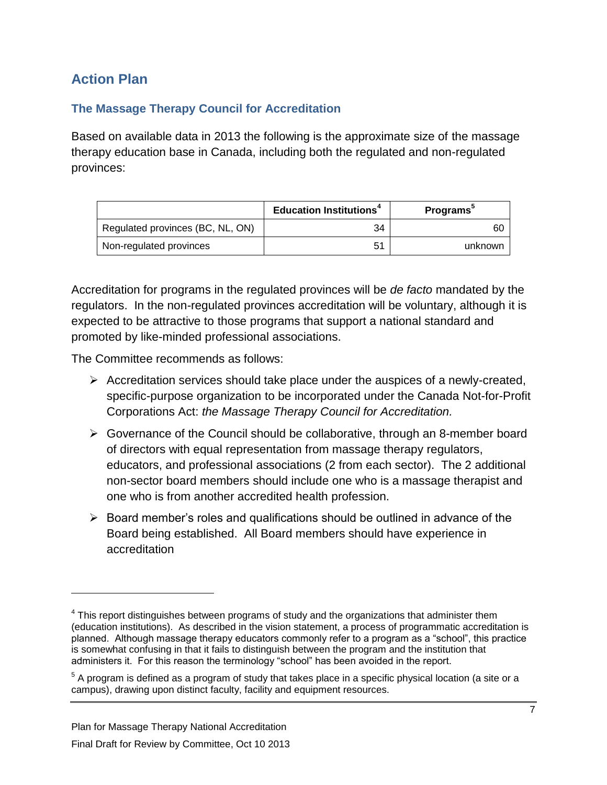### <span id="page-6-0"></span>**Action Plan**

#### <span id="page-6-1"></span>**The Massage Therapy Council for Accreditation**

Based on available data in 2013 the following is the approximate size of the massage therapy education base in Canada, including both the regulated and non-regulated provinces:

|                                  | <b>Education Institutions<sup>4</sup></b> | <b>Programs</b> |
|----------------------------------|-------------------------------------------|-----------------|
| Regulated provinces (BC, NL, ON) | 34                                        | 60              |
| Non-regulated provinces          |                                           | unknown         |

Accreditation for programs in the regulated provinces will be *de facto* mandated by the regulators. In the non-regulated provinces accreditation will be voluntary, although it is expected to be attractive to those programs that support a national standard and promoted by like-minded professional associations.

The Committee recommends as follows:

- $\triangleright$  Accreditation services should take place under the auspices of a newly-created, specific-purpose organization to be incorporated under the Canada Not-for-Profit Corporations Act: *the Massage Therapy Council for Accreditation.*
- $\triangleright$  Governance of the Council should be collaborative, through an 8-member board of directors with equal representation from massage therapy regulators, educators, and professional associations (2 from each sector). The 2 additional non-sector board members should include one who is a massage therapist and one who is from another accredited health profession.
- $\triangleright$  Board member's roles and qualifications should be outlined in advance of the Board being established. All Board members should have experience in accreditation

 $4$  This report distinguishes between programs of study and the organizations that administer them (education institutions). As described in the vision statement, a process of programmatic accreditation is planned. Although massage therapy educators commonly refer to a program as a "school", this practice is somewhat confusing in that it fails to distinguish between the program and the institution that administers it. For this reason the terminology "school" has been avoided in the report.

 $^5$  A program is defined as a program of study that takes place in a specific physical location (a site or a campus), drawing upon distinct faculty, facility and equipment resources.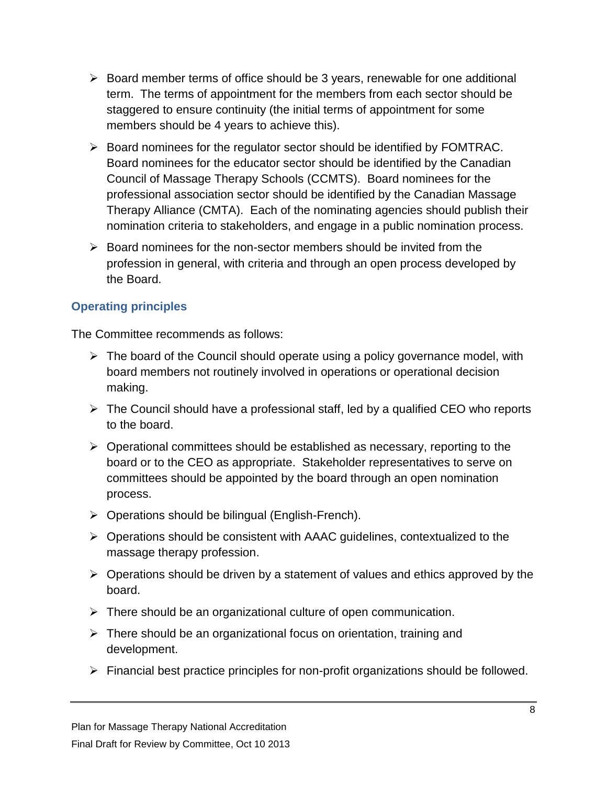- $\triangleright$  Board member terms of office should be 3 years, renewable for one additional term. The terms of appointment for the members from each sector should be staggered to ensure continuity (the initial terms of appointment for some members should be 4 years to achieve this).
- $\triangleright$  Board nominees for the regulator sector should be identified by FOMTRAC. Board nominees for the educator sector should be identified by the Canadian Council of Massage Therapy Schools (CCMTS). Board nominees for the professional association sector should be identified by the Canadian Massage Therapy Alliance (CMTA). Each of the nominating agencies should publish their nomination criteria to stakeholders, and engage in a public nomination process.
- $\triangleright$  Board nominees for the non-sector members should be invited from the profession in general, with criteria and through an open process developed by the Board.

#### <span id="page-7-0"></span>**Operating principles**

The Committee recommends as follows:

- $\triangleright$  The board of the Council should operate using a policy governance model, with board members not routinely involved in operations or operational decision making.
- $\triangleright$  The Council should have a professional staff, led by a qualified CEO who reports to the board.
- $\triangleright$  Operational committees should be established as necessary, reporting to the board or to the CEO as appropriate. Stakeholder representatives to serve on committees should be appointed by the board through an open nomination process.
- $\triangleright$  Operations should be bilingual (English-French).
- $\triangleright$  Operations should be consistent with AAAC guidelines, contextualized to the massage therapy profession.
- $\triangleright$  Operations should be driven by a statement of values and ethics approved by the board.
- $\triangleright$  There should be an organizational culture of open communication.
- $\triangleright$  There should be an organizational focus on orientation, training and development.
- $\triangleright$  Financial best practice principles for non-profit organizations should be followed.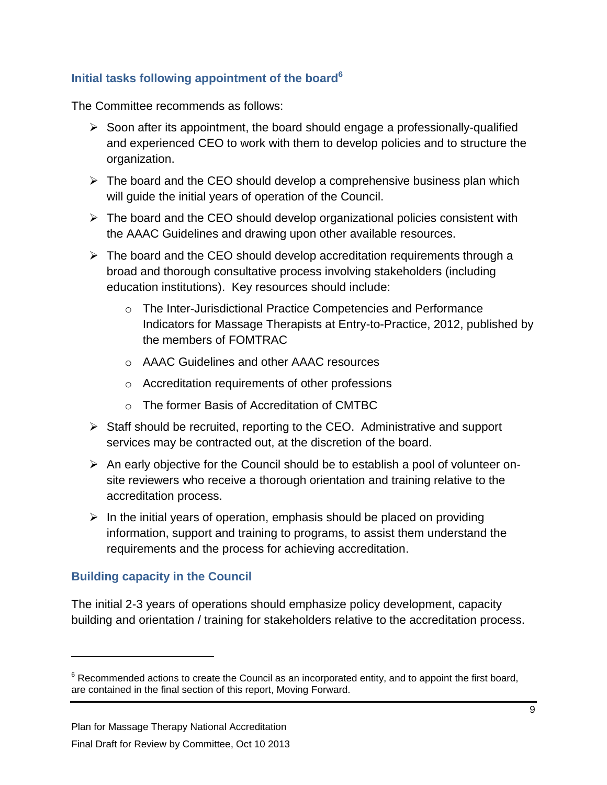#### <span id="page-8-0"></span>**Initial tasks following appointment of the board<sup>6</sup>**

The Committee recommends as follows:

- $\triangleright$  Soon after its appointment, the board should engage a professionally-qualified and experienced CEO to work with them to develop policies and to structure the organization.
- $\triangleright$  The board and the CEO should develop a comprehensive business plan which will guide the initial years of operation of the Council.
- $\triangleright$  The board and the CEO should develop organizational policies consistent with the AAAC Guidelines and drawing upon other available resources.
- $\triangleright$  The board and the CEO should develop accreditation requirements through a broad and thorough consultative process involving stakeholders (including education institutions). Key resources should include:
	- o The Inter-Jurisdictional Practice Competencies and Performance Indicators for Massage Therapists at Entry-to-Practice, 2012, published by the members of FOMTRAC
	- o AAAC Guidelines and other AAAC resources
	- o Accreditation requirements of other professions
	- o The former Basis of Accreditation of CMTBC
- $\triangleright$  Staff should be recruited, reporting to the CEO. Administrative and support services may be contracted out, at the discretion of the board.
- $\triangleright$  An early objective for the Council should be to establish a pool of volunteer onsite reviewers who receive a thorough orientation and training relative to the accreditation process.
- $\triangleright$  In the initial years of operation, emphasis should be placed on providing information, support and training to programs, to assist them understand the requirements and the process for achieving accreditation.

#### <span id="page-8-1"></span>**Building capacity in the Council**

 $\overline{a}$ 

The initial 2-3 years of operations should emphasize policy development, capacity building and orientation / training for stakeholders relative to the accreditation process.

 $6$  Recommended actions to create the Council as an incorporated entity, and to appoint the first board, are contained in the final section of this report, Moving Forward.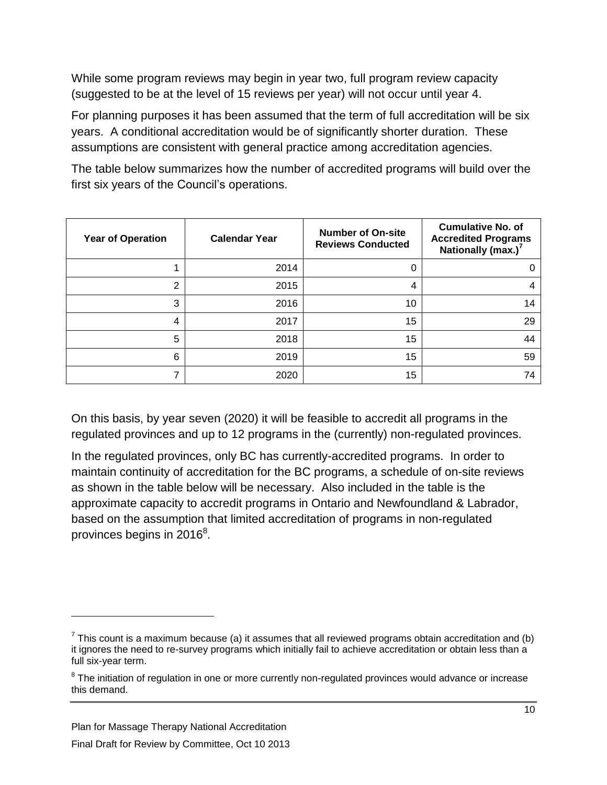While some program reviews may begin in year two, full program review capacity (suggested to be at the level of 15 reviews per year) will not occur until year 4.

For planning purposes it has been assumed that the term of full accreditation will be six years. A conditional accreditation would be of significantly shorter duration. These assumptions are consistent with general practice among accreditation agencies.

The table below summarizes how the number of accredited programs will build over the first six years of the Council's operations.

| <b>Year of Operation</b> | <b>Calendar Year</b> | <b>Number of On-site</b><br><b>Reviews Conducted</b> | <b>Cumulative No. of</b><br><b>Accredited Programs</b><br>Nationally (max.) <sup>7</sup> |
|--------------------------|----------------------|------------------------------------------------------|------------------------------------------------------------------------------------------|
|                          | 2014                 | 0                                                    |                                                                                          |
| ົ                        | 2015                 | 4                                                    |                                                                                          |
| 3                        | 2016                 | 10                                                   | 14                                                                                       |
| 4                        | 2017                 | 15                                                   | 29                                                                                       |
| 5                        | 2018                 | 15                                                   | 44                                                                                       |
| 6                        | 2019                 | 15                                                   | 59                                                                                       |
|                          | 2020                 | 15                                                   | 74                                                                                       |

On this basis, by year seven (2020) it will be feasible to accredit all programs in the regulated provinces and up to 12 programs in the (currently) non-regulated provinces.

In the regulated provinces, only BC has currently-accredited programs. In order to maintain continuity of accreditation for the BC programs, a schedule of on-site reviews as shown in the table below will be necessary. Also included in the table is the approximate capacity to accredit programs in Ontario and Newfoundland & Labrador, based on the assumption that limited accreditation of programs in non-regulated provinces begins in 2016 $^8$ .

 $^7$  This count is a maximum because (a) it assumes that all reviewed programs obtain accreditation and (b) it ignores the need to re-survey programs which initially fail to achieve accreditation or obtain less than a full six-year term.

 $8$  The initiation of regulation in one or more currently non-regulated provinces would advance or increase this demand.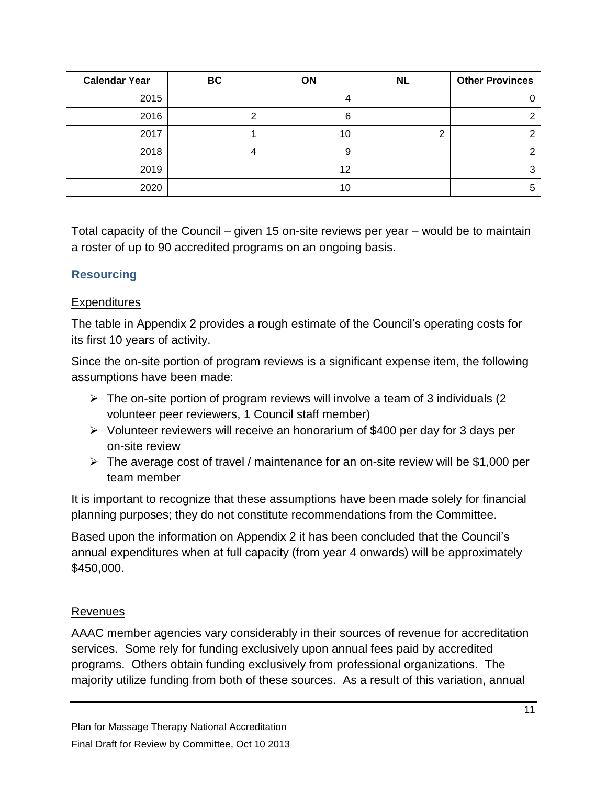| <b>Calendar Year</b> | BC | ON | <b>NL</b> | <b>Other Provinces</b> |
|----------------------|----|----|-----------|------------------------|
| 2015                 |    | 4  |           |                        |
| 2016                 |    | 6  |           |                        |
| 2017                 |    | 10 | ◠         |                        |
| 2018                 |    | 9  |           |                        |
| 2019                 |    | 12 |           | ົ                      |
| 2020                 |    | 10 |           |                        |

Total capacity of the Council – given 15 on-site reviews per year – would be to maintain a roster of up to 90 accredited programs on an ongoing basis.

#### <span id="page-10-0"></span>**Resourcing**

#### **Expenditures**

The table in Appendix 2 provides a rough estimate of the Council's operating costs for its first 10 years of activity.

Since the on-site portion of program reviews is a significant expense item, the following assumptions have been made:

- $\triangleright$  The on-site portion of program reviews will involve a team of 3 individuals (2) volunteer peer reviewers, 1 Council staff member)
- $\triangleright$  Volunteer reviewers will receive an honorarium of \$400 per day for 3 days per on-site review
- $\triangleright$  The average cost of travel / maintenance for an on-site review will be \$1,000 per team member

It is important to recognize that these assumptions have been made solely for financial planning purposes; they do not constitute recommendations from the Committee.

Based upon the information on Appendix 2 it has been concluded that the Council's annual expenditures when at full capacity (from year 4 onwards) will be approximately \$450,000.

#### Revenues

AAAC member agencies vary considerably in their sources of revenue for accreditation services. Some rely for funding exclusively upon annual fees paid by accredited programs. Others obtain funding exclusively from professional organizations. The majority utilize funding from both of these sources. As a result of this variation, annual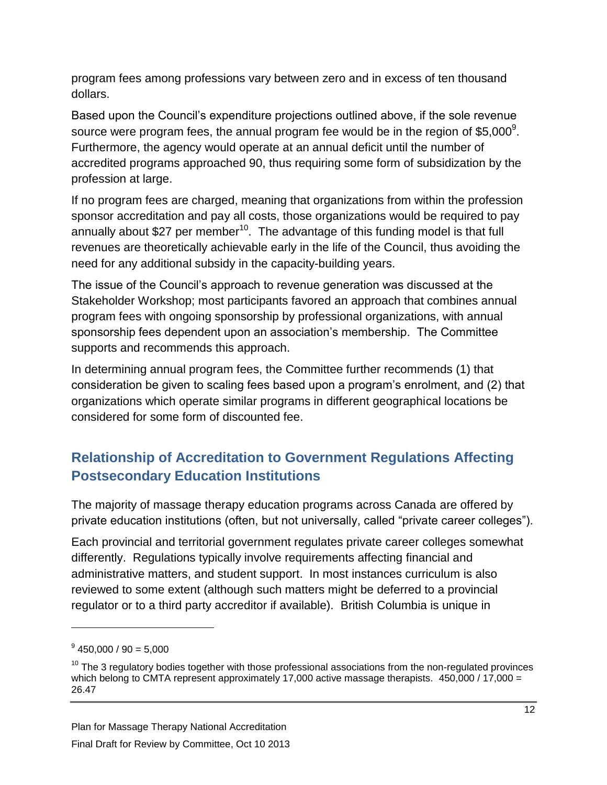program fees among professions vary between zero and in excess of ten thousand dollars.

Based upon the Council's expenditure projections outlined above, if the sole revenue source were program fees, the annual program fee would be in the region of \$5,000<sup>9</sup>. Furthermore, the agency would operate at an annual deficit until the number of accredited programs approached 90, thus requiring some form of subsidization by the profession at large.

If no program fees are charged, meaning that organizations from within the profession sponsor accreditation and pay all costs, those organizations would be required to pay annually about \$27 per member<sup>10</sup>. The advantage of this funding model is that full revenues are theoretically achievable early in the life of the Council, thus avoiding the need for any additional subsidy in the capacity-building years.

The issue of the Council's approach to revenue generation was discussed at the Stakeholder Workshop; most participants favored an approach that combines annual program fees with ongoing sponsorship by professional organizations, with annual sponsorship fees dependent upon an association's membership. The Committee supports and recommends this approach.

In determining annual program fees, the Committee further recommends (1) that consideration be given to scaling fees based upon a program's enrolment, and (2) that organizations which operate similar programs in different geographical locations be considered for some form of discounted fee.

# <span id="page-11-0"></span>**Relationship of Accreditation to Government Regulations Affecting Postsecondary Education Institutions**

The majority of massage therapy education programs across Canada are offered by private education institutions (often, but not universally, called "private career colleges").

Each provincial and territorial government regulates private career colleges somewhat differently. Regulations typically involve requirements affecting financial and administrative matters, and student support. In most instances curriculum is also reviewed to some extent (although such matters might be deferred to a provincial regulator or to a third party accreditor if available). British Columbia is unique in

 $^9$  450,000 / 90 = 5,000

 $10$  The 3 regulatory bodies together with those professional associations from the non-regulated provinces which belong to CMTA represent approximately 17,000 active massage therapists.  $450,000 / 17,000 =$ 26.47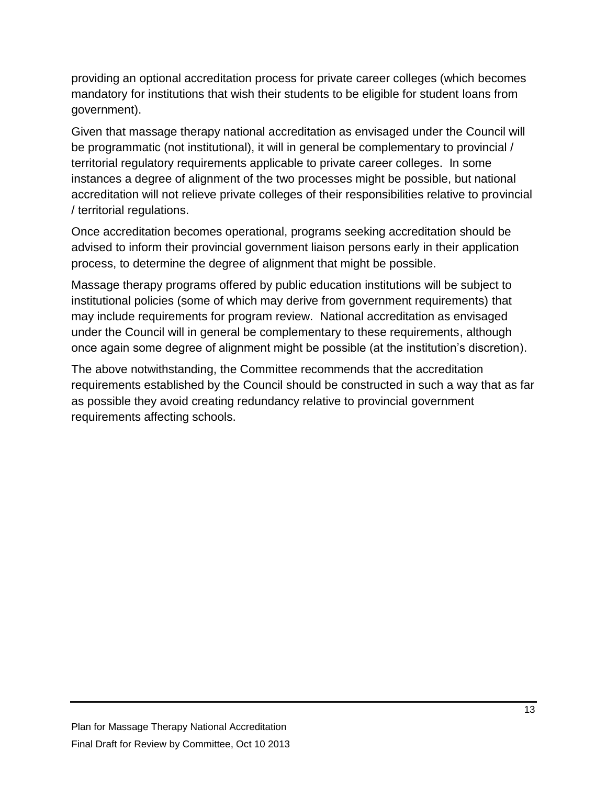providing an optional accreditation process for private career colleges (which becomes mandatory for institutions that wish their students to be eligible for student loans from government).

Given that massage therapy national accreditation as envisaged under the Council will be programmatic (not institutional), it will in general be complementary to provincial / territorial regulatory requirements applicable to private career colleges. In some instances a degree of alignment of the two processes might be possible, but national accreditation will not relieve private colleges of their responsibilities relative to provincial / territorial regulations.

Once accreditation becomes operational, programs seeking accreditation should be advised to inform their provincial government liaison persons early in their application process, to determine the degree of alignment that might be possible.

Massage therapy programs offered by public education institutions will be subject to institutional policies (some of which may derive from government requirements) that may include requirements for program review. National accreditation as envisaged under the Council will in general be complementary to these requirements, although once again some degree of alignment might be possible (at the institution's discretion).

The above notwithstanding, the Committee recommends that the accreditation requirements established by the Council should be constructed in such a way that as far as possible they avoid creating redundancy relative to provincial government requirements affecting schools.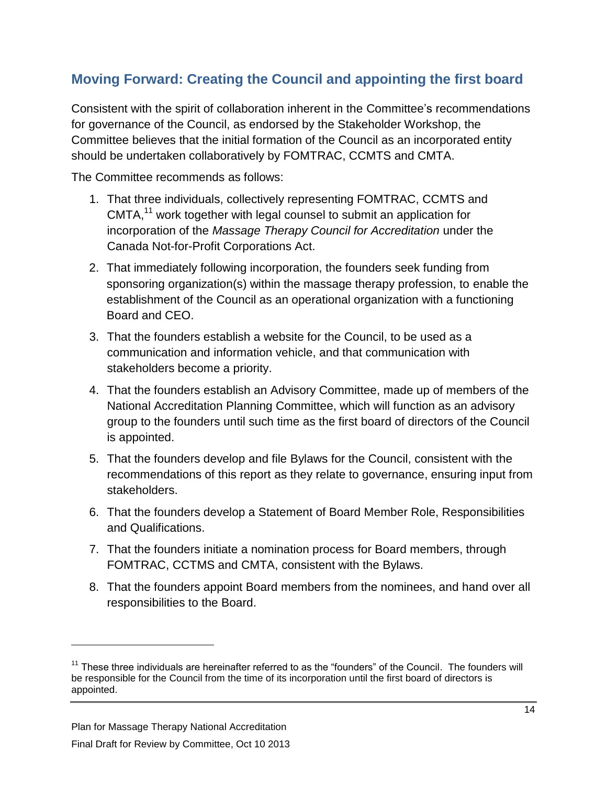### <span id="page-13-0"></span>**Moving Forward: Creating the Council and appointing the first board**

Consistent with the spirit of collaboration inherent in the Committee's recommendations for governance of the Council, as endorsed by the Stakeholder Workshop, the Committee believes that the initial formation of the Council as an incorporated entity should be undertaken collaboratively by FOMTRAC, CCMTS and CMTA.

The Committee recommends as follows:

- 1. That three individuals, collectively representing FOMTRAC, CCMTS and  $CMTA<sub>1</sub><sup>11</sup>$  work together with legal counsel to submit an application for incorporation of the *Massage Therapy Council for Accreditation* under the Canada Not-for-Profit Corporations Act.
- 2. That immediately following incorporation, the founders seek funding from sponsoring organization(s) within the massage therapy profession, to enable the establishment of the Council as an operational organization with a functioning Board and CEO.
- 3. That the founders establish a website for the Council, to be used as a communication and information vehicle, and that communication with stakeholders become a priority.
- 4. That the founders establish an Advisory Committee, made up of members of the National Accreditation Planning Committee, which will function as an advisory group to the founders until such time as the first board of directors of the Council is appointed.
- 5. That the founders develop and file Bylaws for the Council, consistent with the recommendations of this report as they relate to governance, ensuring input from stakeholders.
- 6. That the founders develop a Statement of Board Member Role, Responsibilities and Qualifications.
- 7. That the founders initiate a nomination process for Board members, through FOMTRAC, CCTMS and CMTA, consistent with the Bylaws.
- 8. That the founders appoint Board members from the nominees, and hand over all responsibilities to the Board.

 $11$  These three individuals are hereinafter referred to as the "founders" of the Council. The founders will be responsible for the Council from the time of its incorporation until the first board of directors is appointed.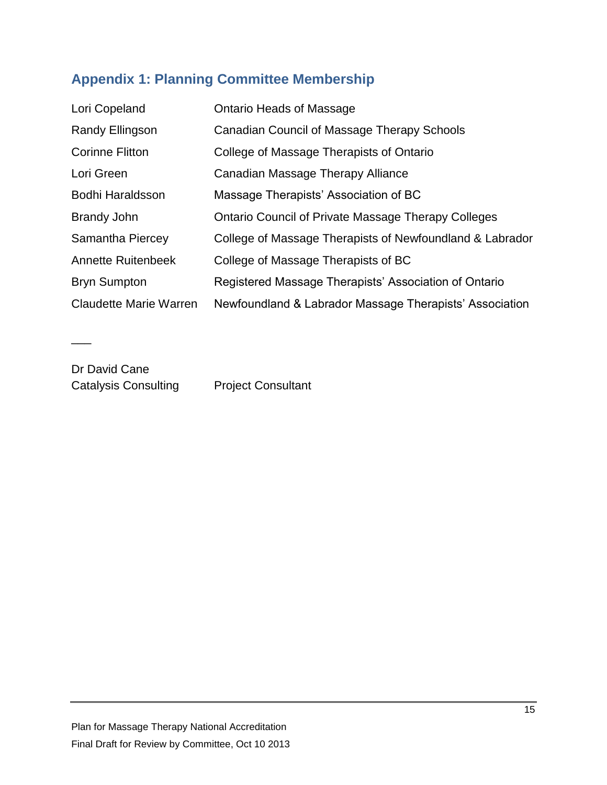# <span id="page-14-0"></span>**Appendix 1: Planning Committee Membership**

| Lori Copeland                 | <b>Ontario Heads of Massage</b>                            |
|-------------------------------|------------------------------------------------------------|
| Randy Ellingson               | Canadian Council of Massage Therapy Schools                |
| <b>Corinne Flitton</b>        | College of Massage Therapists of Ontario                   |
| Lori Green                    | Canadian Massage Therapy Alliance                          |
| Bodhi Haraldsson              | Massage Therapists' Association of BC                      |
| <b>Brandy John</b>            | <b>Ontario Council of Private Massage Therapy Colleges</b> |
| Samantha Piercey              | College of Massage Therapists of Newfoundland & Labrador   |
| <b>Annette Ruitenbeek</b>     | College of Massage Therapists of BC                        |
| <b>Bryn Sumpton</b>           | Registered Massage Therapists' Association of Ontario      |
| <b>Claudette Marie Warren</b> | Newfoundland & Labrador Massage Therapists' Association    |

Dr David Cane Catalysis Consulting Project Consultant

 $\overline{\phantom{a}}$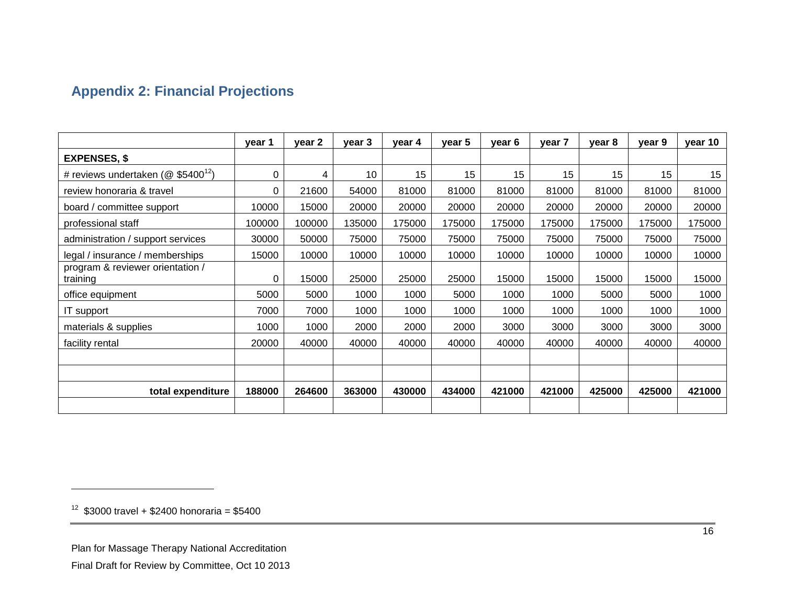# **Appendix 2: Financial Projections**

<span id="page-15-0"></span>

|                                                   | year 1 | year 2 | year 3 | year 4 | year 5 | year 6 | year 7 | year 8 | year 9 | year 10 |
|---------------------------------------------------|--------|--------|--------|--------|--------|--------|--------|--------|--------|---------|
| <b>EXPENSES, \$</b>                               |        |        |        |        |        |        |        |        |        |         |
| # reviews undertaken ( $@$ \$5400 <sup>12</sup> ) | 0      | 4      | 10     | 15     | 15     | 15     | 15     | 15     | 15     | 15      |
| review honoraria & travel                         | 0      | 21600  | 54000  | 81000  | 81000  | 81000  | 81000  | 81000  | 81000  | 81000   |
| board / committee support                         | 10000  | 15000  | 20000  | 20000  | 20000  | 20000  | 20000  | 20000  | 20000  | 20000   |
| professional staff                                | 100000 | 100000 | 135000 | 175000 | 175000 | 175000 | 175000 | 175000 | 175000 | 175000  |
| administration / support services                 | 30000  | 50000  | 75000  | 75000  | 75000  | 75000  | 75000  | 75000  | 75000  | 75000   |
| legal / insurance / memberships                   | 15000  | 10000  | 10000  | 10000  | 10000  | 10000  | 10000  | 10000  | 10000  | 10000   |
| program & reviewer orientation /<br>training      | 0      | 15000  | 25000  | 25000  | 25000  | 15000  | 15000  | 15000  | 15000  | 15000   |
| office equipment                                  | 5000   | 5000   | 1000   | 1000   | 5000   | 1000   | 1000   | 5000   | 5000   | 1000    |
| IT support                                        | 7000   | 7000   | 1000   | 1000   | 1000   | 1000   | 1000   | 1000   | 1000   | 1000    |
| materials & supplies                              | 1000   | 1000   | 2000   | 2000   | 2000   | 3000   | 3000   | 3000   | 3000   | 3000    |
| facility rental                                   | 20000  | 40000  | 40000  | 40000  | 40000  | 40000  | 40000  | 40000  | 40000  | 40000   |
|                                                   |        |        |        |        |        |        |        |        |        |         |
|                                                   |        |        |        |        |        |        |        |        |        |         |
| total expenditure                                 | 188000 | 264600 | 363000 | 430000 | 434000 | 421000 | 421000 | 425000 | 425000 | 421000  |
|                                                   |        |        |        |        |        |        |        |        |        |         |

 $12$  \$3000 travel + \$2400 honoraria = \$5400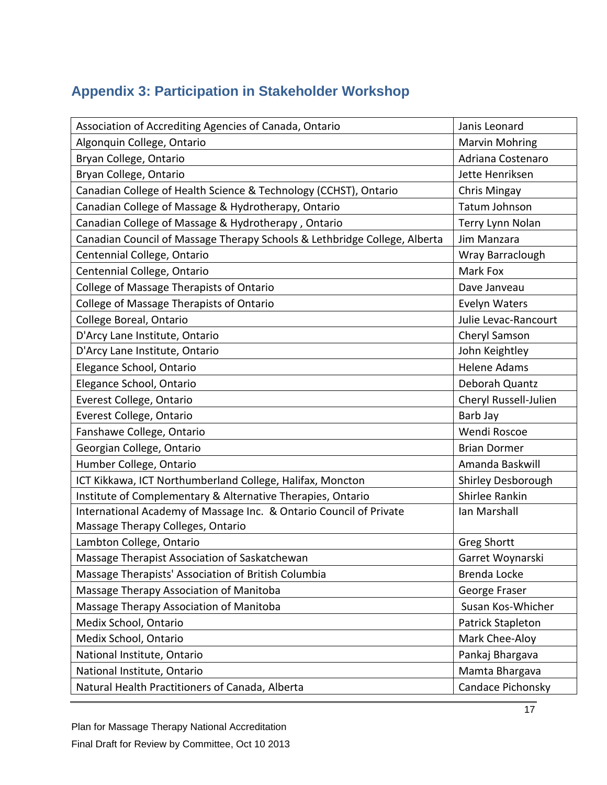# <span id="page-16-0"></span>**Appendix 3: Participation in Stakeholder Workshop**

| Association of Accrediting Agencies of Canada, Ontario                    | Janis Leonard         |
|---------------------------------------------------------------------------|-----------------------|
| Algonquin College, Ontario                                                | <b>Marvin Mohring</b> |
| Bryan College, Ontario                                                    | Adriana Costenaro     |
| Bryan College, Ontario                                                    | Jette Henriksen       |
| Canadian College of Health Science & Technology (CCHST), Ontario          | Chris Mingay          |
| Canadian College of Massage & Hydrotherapy, Ontario                       | Tatum Johnson         |
| Canadian College of Massage & Hydrotherapy, Ontario                       | Terry Lynn Nolan      |
| Canadian Council of Massage Therapy Schools & Lethbridge College, Alberta | Jim Manzara           |
| Centennial College, Ontario                                               | Wray Barraclough      |
| Centennial College, Ontario                                               | Mark Fox              |
| College of Massage Therapists of Ontario                                  | Dave Janveau          |
| College of Massage Therapists of Ontario                                  | Evelyn Waters         |
| College Boreal, Ontario                                                   | Julie Levac-Rancourt  |
| D'Arcy Lane Institute, Ontario                                            | Cheryl Samson         |
| D'Arcy Lane Institute, Ontario                                            | John Keightley        |
| Elegance School, Ontario                                                  | <b>Helene Adams</b>   |
| Elegance School, Ontario                                                  | Deborah Quantz        |
| Everest College, Ontario                                                  | Cheryl Russell-Julien |
| Everest College, Ontario                                                  | Barb Jay              |
| Fanshawe College, Ontario                                                 | Wendi Roscoe          |
| Georgian College, Ontario                                                 | <b>Brian Dormer</b>   |
| Humber College, Ontario                                                   | Amanda Baskwill       |
| ICT Kikkawa, ICT Northumberland College, Halifax, Moncton                 | Shirley Desborough    |
| Institute of Complementary & Alternative Therapies, Ontario               | Shirlee Rankin        |
| International Academy of Massage Inc. & Ontario Council of Private        | Ian Marshall          |
| Massage Therapy Colleges, Ontario                                         |                       |
| Lambton College, Ontario                                                  | <b>Greg Shortt</b>    |
| Massage Therapist Association of Saskatchewan                             | Garret Woynarski      |
| Massage Therapists' Association of British Columbia                       | Brenda Locke          |
| Massage Therapy Association of Manitoba                                   | George Fraser         |
| Massage Therapy Association of Manitoba                                   | Susan Kos-Whicher     |
| Medix School, Ontario                                                     | Patrick Stapleton     |
| Medix School, Ontario                                                     | Mark Chee-Aloy        |
| National Institute, Ontario                                               | Pankaj Bhargava       |
| National Institute, Ontario                                               | Mamta Bhargava        |
| Natural Health Practitioners of Canada, Alberta                           | Candace Pichonsky     |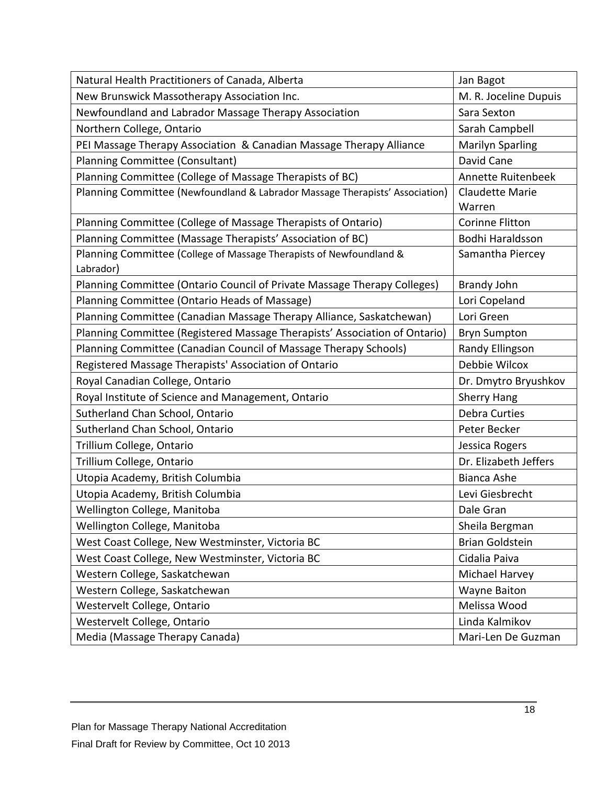| Natural Health Practitioners of Canada, Alberta                              | Jan Bagot               |
|------------------------------------------------------------------------------|-------------------------|
| New Brunswick Massotherapy Association Inc.                                  | M. R. Joceline Dupuis   |
| Newfoundland and Labrador Massage Therapy Association                        | Sara Sexton             |
| Northern College, Ontario                                                    | Sarah Campbell          |
| PEI Massage Therapy Association & Canadian Massage Therapy Alliance          | <b>Marilyn Sparling</b> |
| Planning Committee (Consultant)                                              | David Cane              |
| Planning Committee (College of Massage Therapists of BC)                     | Annette Ruitenbeek      |
| Planning Committee (Newfoundland & Labrador Massage Therapists' Association) | <b>Claudette Marie</b>  |
|                                                                              | Warren                  |
| Planning Committee (College of Massage Therapists of Ontario)                | <b>Corinne Flitton</b>  |
| Planning Committee (Massage Therapists' Association of BC)                   | Bodhi Haraldsson        |
| Planning Committee (College of Massage Therapists of Newfoundland &          | Samantha Piercey        |
| Labrador)                                                                    |                         |
| Planning Committee (Ontario Council of Private Massage Therapy Colleges)     | <b>Brandy John</b>      |
| Planning Committee (Ontario Heads of Massage)                                | Lori Copeland           |
| Planning Committee (Canadian Massage Therapy Alliance, Saskatchewan)         | Lori Green              |
| Planning Committee (Registered Massage Therapists' Association of Ontario)   | <b>Bryn Sumpton</b>     |
| Planning Committee (Canadian Council of Massage Therapy Schools)             | Randy Ellingson         |
| Registered Massage Therapists' Association of Ontario                        | Debbie Wilcox           |
| Royal Canadian College, Ontario                                              | Dr. Dmytro Bryushkov    |
| Royal Institute of Science and Management, Ontario                           | <b>Sherry Hang</b>      |
| Sutherland Chan School, Ontario                                              | <b>Debra Curties</b>    |
| Sutherland Chan School, Ontario                                              | Peter Becker            |
| Trillium College, Ontario                                                    | Jessica Rogers          |
| Trillium College, Ontario                                                    | Dr. Elizabeth Jeffers   |
| Utopia Academy, British Columbia                                             | Bianca Ashe             |
| Utopia Academy, British Columbia                                             | Levi Giesbrecht         |
| Wellington College, Manitoba                                                 | Dale Gran               |
| Wellington College, Manitoba                                                 | Sheila Bergman          |
| West Coast College, New Westminster, Victoria BC                             | <b>Brian Goldstein</b>  |
| West Coast College, New Westminster, Victoria BC                             | Cidalia Paiva           |
| Western College, Saskatchewan                                                | Michael Harvey          |
| Western College, Saskatchewan                                                | <b>Wayne Baiton</b>     |
| Westervelt College, Ontario                                                  | Melissa Wood            |
| Westervelt College, Ontario                                                  | Linda Kalmikov          |
| Media (Massage Therapy Canada)                                               | Mari-Len De Guzman      |